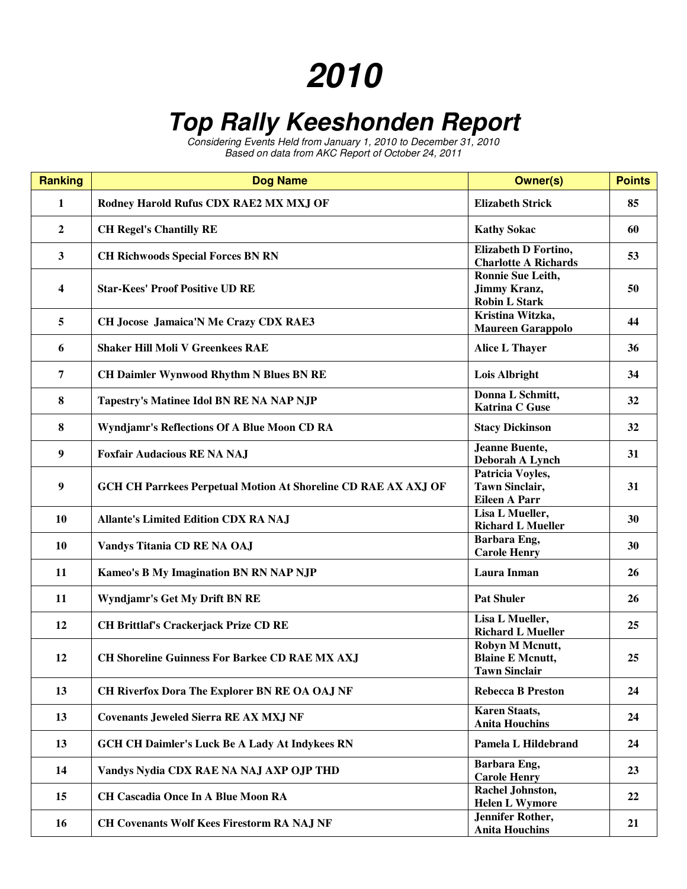## **2010**

## **Top Rally Keeshonden Report**

Considering Events Held from January 1, 2010 to December 31, 2010 Based on data from AKC Report of October 24, 2011

| <b>Ranking</b> | <b>Dog Name</b>                                                       | <b>Owner(s)</b>                                                    | <b>Points</b> |
|----------------|-----------------------------------------------------------------------|--------------------------------------------------------------------|---------------|
| 1              | Rodney Harold Rufus CDX RAE2 MX MXJ OF                                | <b>Elizabeth Strick</b>                                            | 85            |
| $\overline{2}$ | <b>CH Regel's Chantilly RE</b>                                        | <b>Kathy Sokac</b>                                                 | 60            |
| $\mathbf{3}$   | <b>CH Richwoods Special Forces BN RN</b>                              | Elizabeth D Fortino,<br><b>Charlotte A Richards</b>                | 53            |
| 4              | <b>Star-Kees' Proof Positive UD RE</b>                                | Ronnie Sue Leith,<br><b>Jimmy Kranz,</b><br><b>Robin L Stark</b>   | 50            |
| 5              | CH Jocose Jamaica'N Me Crazy CDX RAE3                                 | Kristina Witzka,<br><b>Maureen Garappolo</b>                       | 44            |
| 6              | <b>Shaker Hill Moli V Greenkees RAE</b>                               | <b>Alice L Thayer</b>                                              | 36            |
| $\overline{7}$ | <b>CH Daimler Wynwood Rhythm N Blues BN RE</b>                        | Lois Albright                                                      | 34            |
| 8              | Tapestry's Matinee Idol BN RE NA NAP NJP                              | Donna L Schmitt,<br><b>Katrina C Guse</b>                          | 32            |
| 8              | Wyndjamr's Reflections Of A Blue Moon CD RA                           | <b>Stacy Dickinson</b>                                             | 32            |
| 9              | <b>Foxfair Audacious RE NA NAJ</b>                                    | <b>Jeanne Buente,</b><br>Deborah A Lynch                           | 31            |
| 9              | <b>GCH CH Parrkees Perpetual Motion At Shoreline CD RAE AX AXJ OF</b> | Patricia Voyles,<br><b>Tawn Sinclair,</b><br><b>Eileen A Parr</b>  | 31            |
| 10             | <b>Allante's Limited Edition CDX RA NAJ</b>                           | Lisa L Mueller,<br><b>Richard L Mueller</b>                        | 30            |
| 10             | Vandys Titania CD RE NA OAJ                                           | Barbara Eng,<br><b>Carole Henry</b>                                | 30            |
| 11             | <b>Kameo's B My Imagination BN RN NAP NJP</b>                         | Laura Inman                                                        | 26            |
| 11             | Wyndjamr's Get My Drift BN RE                                         | <b>Pat Shuler</b>                                                  | 26            |
| 12             | <b>CH Brittlaf's Crackerjack Prize CD RE</b>                          | Lisa L Mueller,<br><b>Richard L Mueller</b>                        | 25            |
| 12             | <b>CH Shoreline Guinness For Barkee CD RAE MX AXJ</b>                 | Robyn M Mcnutt,<br><b>Blaine E Mcnutt,</b><br><b>Tawn Sinclair</b> | 25            |
| 13             | CH Riverfox Dora The Explorer BN RE OA OAJ NF                         | <b>Rebecca B Preston</b>                                           | 24            |
| 13             | <b>Covenants Jeweled Sierra RE AX MXJ NF</b>                          | <b>Karen Staats,</b><br><b>Anita Houchins</b>                      | 24            |
| 13             | <b>GCH CH Daimler's Luck Be A Lady At Indykees RN</b>                 | Pamela L Hildebrand                                                | 24            |
| 14             | Vandys Nydia CDX RAE NA NAJ AXP OJP THD                               | Barbara Eng,<br><b>Carole Henry</b>                                | 23            |
| 15             | <b>CH Cascadia Once In A Blue Moon RA</b>                             | Rachel Johnston,<br><b>Helen L Wymore</b>                          | 22            |
| 16             | <b>CH Covenants Wolf Kees Firestorm RA NAJ NF</b>                     | <b>Jennifer Rother,</b><br><b>Anita Houchins</b>                   | 21            |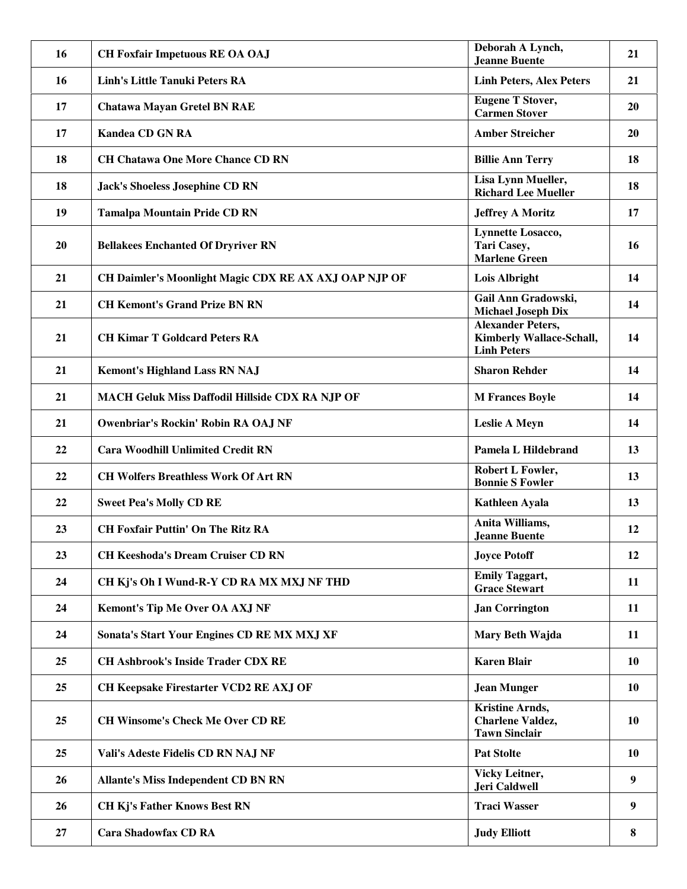| 16 | <b>CH Foxfair Impetuous RE OA OAJ</b>                  | Deborah A Lynch,<br>Jeanne Buente                                          | 21        |
|----|--------------------------------------------------------|----------------------------------------------------------------------------|-----------|
| 16 | <b>Linh's Little Tanuki Peters RA</b>                  | <b>Linh Peters, Alex Peters</b>                                            | 21        |
| 17 | <b>Chatawa Mayan Gretel BN RAE</b>                     | <b>Eugene T Stover,</b><br><b>Carmen Stover</b>                            | 20        |
| 17 | <b>Kandea CD GN RA</b>                                 | <b>Amber Streicher</b>                                                     | 20        |
| 18 | <b>CH Chatawa One More Chance CD RN</b>                | <b>Billie Ann Terry</b>                                                    | 18        |
| 18 | <b>Jack's Shoeless Josephine CD RN</b>                 | Lisa Lynn Mueller,<br><b>Richard Lee Mueller</b>                           | 18        |
| 19 | <b>Tamalpa Mountain Pride CD RN</b>                    | <b>Jeffrey A Moritz</b>                                                    | 17        |
| 20 | <b>Bellakees Enchanted Of Dryriver RN</b>              | <b>Lynnette Losacco,</b><br>Tari Casey,<br><b>Marlene Green</b>            | 16        |
| 21 | CH Daimler's Moonlight Magic CDX RE AX AXJ OAP NJP OF  | <b>Lois Albright</b>                                                       | 14        |
| 21 | <b>CH Kemont's Grand Prize BN RN</b>                   | Gail Ann Gradowski,<br><b>Michael Joseph Dix</b>                           | 14        |
| 21 | <b>CH Kimar T Goldcard Peters RA</b>                   | <b>Alexander Peters,</b><br>Kimberly Wallace-Schall,<br><b>Linh Peters</b> | 14        |
| 21 | <b>Kemont's Highland Lass RN NAJ</b>                   | <b>Sharon Rehder</b>                                                       | 14        |
| 21 | <b>MACH Geluk Miss Daffodil Hillside CDX RA NJP OF</b> | <b>M Frances Boyle</b>                                                     | 14        |
| 21 | Owenbriar's Rockin' Robin RA OAJ NF                    | <b>Leslie A Meyn</b>                                                       | 14        |
| 22 | <b>Cara Woodhill Unlimited Credit RN</b>               | Pamela L Hildebrand                                                        | 13        |
| 22 | <b>CH Wolfers Breathless Work Of Art RN</b>            | Robert L Fowler,<br><b>Bonnie S Fowler</b>                                 | 13        |
| 22 | <b>Sweet Pea's Molly CD RE</b>                         | <b>Kathleen Ayala</b>                                                      | 13        |
| 23 | <b>CH Foxfair Puttin' On The Ritz RA</b>               | Anita Williams,<br><b>Jeanne Buente</b>                                    | 12        |
| 23 | <b>CH Keeshoda's Dream Cruiser CD RN</b>               | <b>Joyce Potoff</b>                                                        | 12        |
| 24 | CH Kj's Oh I Wund-R-Y CD RA MX MXJ NF THD              | <b>Emily Taggart,</b><br><b>Grace Stewart</b>                              | 11        |
| 24 | <b>Kemont's Tip Me Over OA AXJ NF</b>                  | <b>Jan Corrington</b>                                                      | 11        |
| 24 | Sonata's Start Your Engines CD RE MX MXJ XF            | Mary Beth Wajda                                                            | 11        |
| 25 | <b>CH Ashbrook's Inside Trader CDX RE</b>              | <b>Karen Blair</b>                                                         | 10        |
| 25 | CH Keepsake Firestarter VCD2 RE AXJ OF                 | <b>Jean Munger</b>                                                         | <b>10</b> |
| 25 | <b>CH Winsome's Check Me Over CD RE</b>                | <b>Kristine Arnds,</b><br><b>Charlene Valdez,</b><br><b>Tawn Sinclair</b>  | 10        |
| 25 | Vali's Adeste Fidelis CD RN NAJ NF                     | <b>Pat Stolte</b>                                                          | 10        |
| 26 | <b>Allante's Miss Independent CD BN RN</b>             | Vicky Leitner,<br>Jeri Caldwell                                            | 9         |
| 26 | <b>CH Kj's Father Knows Best RN</b>                    | <b>Traci Wasser</b>                                                        | 9         |
| 27 | <b>Cara Shadowfax CD RA</b>                            | <b>Judy Elliott</b>                                                        | 8         |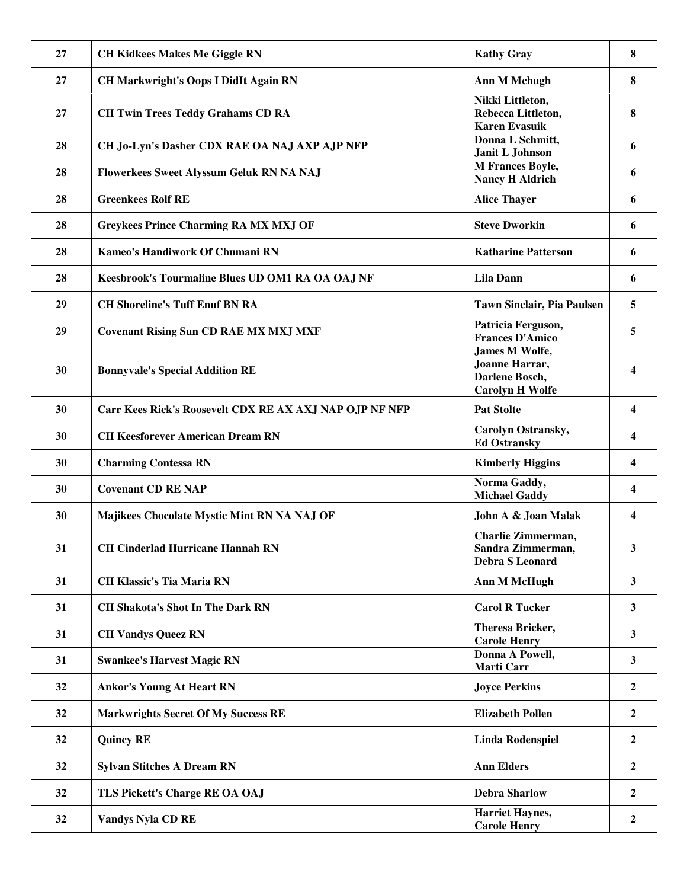| 27 | <b>CH Kidkees Makes Me Giggle RN</b>                    | <b>Kathy Gray</b>                                                                   | 8                       |
|----|---------------------------------------------------------|-------------------------------------------------------------------------------------|-------------------------|
| 27 | <b>CH Markwright's Oops I DidIt Again RN</b>            | <b>Ann M Mchugh</b>                                                                 | 8                       |
| 27 | <b>CH Twin Trees Teddy Grahams CD RA</b>                | Nikki Littleton,<br>Rebecca Littleton,<br><b>Karen Evasuik</b>                      | 8                       |
| 28 | CH Jo-Lyn's Dasher CDX RAE OA NAJ AXP AJP NFP           | Donna L Schmitt,<br>Janit L Johnson                                                 | 6                       |
| 28 | Flowerkees Sweet Alyssum Geluk RN NA NAJ                | <b>M Frances Boyle,</b><br><b>Nancy H Aldrich</b>                                   | 6                       |
| 28 | <b>Greenkees Rolf RE</b>                                | <b>Alice Thayer</b>                                                                 | 6                       |
| 28 | <b>Greykees Prince Charming RA MX MXJ OF</b>            | <b>Steve Dworkin</b>                                                                | 6                       |
| 28 | Kameo's Handiwork Of Chumani RN                         | <b>Katharine Patterson</b>                                                          | 6                       |
| 28 | Keesbrook's Tourmaline Blues UD OM1 RA OA OAJ NF        | <b>Lila Dann</b>                                                                    | 6                       |
| 29 | <b>CH Shoreline's Tuff Enuf BN RA</b>                   | <b>Tawn Sinclair, Pia Paulsen</b>                                                   | 5                       |
| 29 | <b>Covenant Rising Sun CD RAE MX MXJ MXF</b>            | Patricia Ferguson,<br><b>Frances D'Amico</b>                                        | 5                       |
| 30 | <b>Bonnyvale's Special Addition RE</b>                  | <b>James M Wolfe,</b><br>Joanne Harrar,<br>Darlene Bosch,<br><b>Carolyn H Wolfe</b> |                         |
| 30 | Carr Kees Rick's Roosevelt CDX RE AX AXJ NAP OJP NF NFP | <b>Pat Stolte</b>                                                                   | $\overline{\mathbf{4}}$ |
| 30 | <b>CH Keesforever American Dream RN</b>                 | Carolyn Ostransky,<br><b>Ed Ostransky</b>                                           | 4                       |
| 30 | <b>Charming Contessa RN</b>                             | <b>Kimberly Higgins</b>                                                             | 4                       |
| 30 | <b>Covenant CD RE NAP</b>                               | Norma Gaddy,<br><b>Michael Gaddy</b>                                                | 4                       |
| 30 | Majikees Chocolate Mystic Mint RN NA NAJ OF             | John A & Joan Malak                                                                 | $\overline{\mathbf{4}}$ |
| 31 | <b>CH Cinderlad Hurricane Hannah RN</b>                 | <b>Charlie Zimmerman,</b><br>Sandra Zimmerman,<br><b>Debra S Leonard</b>            | 3                       |
| 31 | <b>CH Klassic's Tia Maria RN</b>                        | <b>Ann M McHugh</b>                                                                 | $\mathbf{3}$            |
| 31 | <b>CH Shakota's Shot In The Dark RN</b>                 | <b>Carol R Tucker</b>                                                               | $\mathbf{3}$            |
| 31 | <b>CH Vandys Queez RN</b>                               | <b>Theresa Bricker,</b><br><b>Carole Henry</b>                                      | $\mathbf{3}$            |
| 31 | <b>Swankee's Harvest Magic RN</b>                       | Donna A Powell,<br><b>Marti Carr</b>                                                | $\mathbf{3}$            |
| 32 | <b>Ankor's Young At Heart RN</b>                        | <b>Joyce Perkins</b>                                                                | $\overline{2}$          |
| 32 | <b>Markwrights Secret Of My Success RE</b>              | <b>Elizabeth Pollen</b>                                                             | $\overline{2}$          |
| 32 | <b>Quincy RE</b>                                        | <b>Linda Rodenspiel</b>                                                             | $\overline{2}$          |
| 32 | <b>Sylvan Stitches A Dream RN</b>                       | <b>Ann Elders</b>                                                                   | $\overline{2}$          |
| 32 | TLS Pickett's Charge RE OA OAJ                          | <b>Debra Sharlow</b>                                                                | $\overline{2}$          |
| 32 | <b>Vandys Nyla CD RE</b>                                | <b>Harriet Haynes,</b><br><b>Carole Henry</b>                                       | $\overline{2}$          |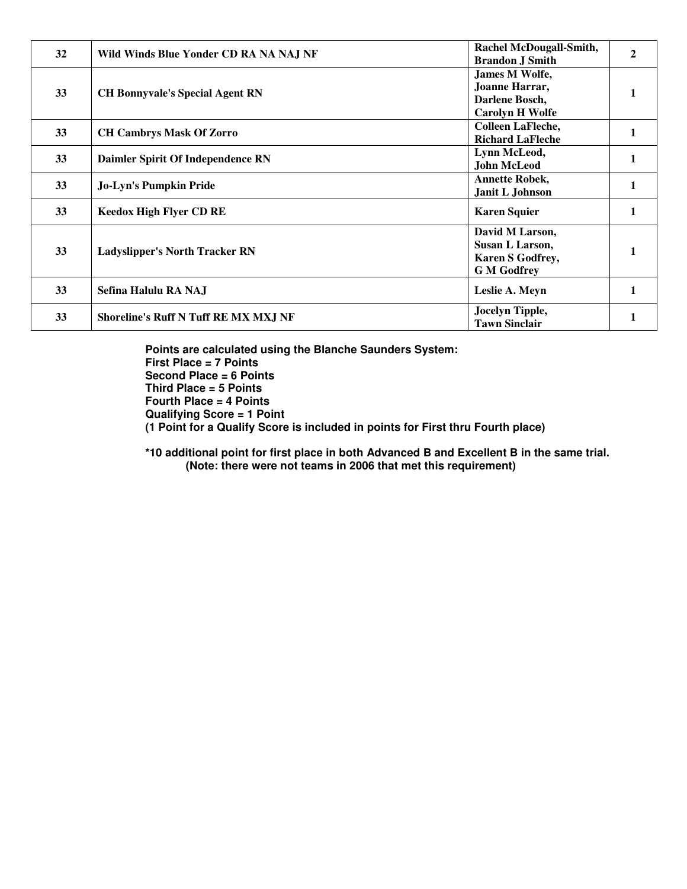| 32 | Wild Winds Blue Yonder CD RA NA NAJ NF      | <b>Rachel McDougall-Smith,</b><br><b>Brandon J Smith</b>                            |  |
|----|---------------------------------------------|-------------------------------------------------------------------------------------|--|
| 33 | <b>CH Bonnyvale's Special Agent RN</b>      | <b>James M Wolfe,</b><br>Joanne Harrar,<br>Darlene Bosch,<br><b>Carolyn H Wolfe</b> |  |
| 33 | <b>CH Cambrys Mask Of Zorro</b>             | <b>Colleen LaFleche,</b><br><b>Richard LaFleche</b>                                 |  |
| 33 | Daimler Spirit Of Independence RN           | Lynn McLeod,<br><b>John McLeod</b>                                                  |  |
| 33 | <b>Jo-Lyn's Pumpkin Pride</b>               | <b>Annette Robek,</b><br>Janit L Johnson                                            |  |
| 33 | <b>Keedox High Flyer CD RE</b>              | <b>Karen Squier</b>                                                                 |  |
| 33 | <b>Ladyslipper's North Tracker RN</b>       | David M Larson,<br>Susan L Larson,<br><b>Karen S Godfrey,</b><br><b>G</b> M Godfrey |  |
| 33 | Sefina Halulu RA NAJ                        | Leslie A. Meyn                                                                      |  |
| 33 | <b>Shoreline's Ruff N Tuff RE MX MXJ NF</b> | Jocelyn Tipple,<br><b>Tawn Sinclair</b>                                             |  |

**Points are calculated using the Blanche Saunders System: First Place = 7 Points Second Place = 6 Points Third Place = 5 Points Fourth Place = 4 Points Qualifying Score = 1 Point (1 Point for a Qualify Score is included in points for First thru Fourth place)** 

**\*10 additional point for first place in both Advanced B and Excellent B in the same trial. (Note: there were not teams in 2006 that met this requirement)**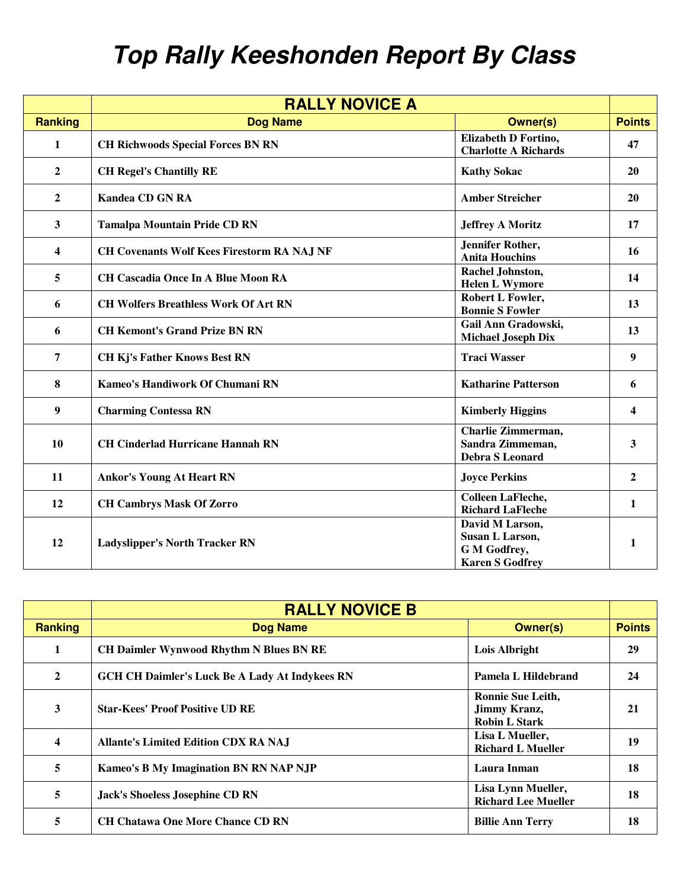## **Top Rally Keeshonden Report By Class**

|                  | <b>RALLY NOVICE A</b>                             |                                                                              |               |
|------------------|---------------------------------------------------|------------------------------------------------------------------------------|---------------|
| <b>Ranking</b>   | <b>Dog Name</b>                                   | <b>Owner(s)</b>                                                              | <b>Points</b> |
| $\mathbf{1}$     | <b>CH Richwoods Special Forces BN RN</b>          | <b>Elizabeth D Fortino,</b><br><b>Charlotte A Richards</b>                   | 47            |
| $\boldsymbol{2}$ | <b>CH Regel's Chantilly RE</b>                    | <b>Kathy Sokac</b>                                                           | 20            |
| $\overline{2}$   | <b>Kandea CD GN RA</b>                            | <b>Amber Streicher</b>                                                       | 20            |
| $\mathbf{3}$     | <b>Tamalpa Mountain Pride CD RN</b>               | <b>Jeffrey A Moritz</b>                                                      | 17            |
| 4                | <b>CH Covenants Wolf Kees Firestorm RA NAJ NF</b> | Jennifer Rother,<br><b>Anita Houchins</b>                                    | 16            |
| 5                | <b>CH Cascadia Once In A Blue Moon RA</b>         | Rachel Johnston,<br><b>Helen L Wymore</b>                                    | 14            |
| 6                | <b>CH Wolfers Breathless Work Of Art RN</b>       | <b>Robert L Fowler,</b><br><b>Bonnie S Fowler</b>                            | 13            |
| 6                | <b>CH Kemont's Grand Prize BN RN</b>              | Gail Ann Gradowski,<br><b>Michael Joseph Dix</b>                             | 13            |
| 7                | <b>CH Kj's Father Knows Best RN</b>               | <b>Traci Wasser</b>                                                          | 9             |
| $\bf{8}$         | Kameo's Handiwork Of Chumani RN                   | <b>Katharine Patterson</b>                                                   | 6             |
| 9                | <b>Charming Contessa RN</b>                       | <b>Kimberly Higgins</b>                                                      | 4             |
| 10               | <b>CH Cinderlad Hurricane Hannah RN</b>           | Charlie Zimmerman,<br>Sandra Zimmeman,<br><b>Debra S Leonard</b>             | 3             |
| 11               | <b>Ankor's Young At Heart RN</b>                  | <b>Joyce Perkins</b>                                                         | $\mathbf{2}$  |
| 12               | <b>CH Cambrys Mask Of Zorro</b>                   | <b>Colleen LaFleche,</b><br><b>Richard LaFleche</b>                          | $\mathbf{1}$  |
| 12               | <b>Ladyslipper's North Tracker RN</b>             | David M Larson,<br>Susan L Larson,<br>G M Godfrey,<br><b>Karen S Godfrey</b> | $\mathbf{1}$  |

|                | <b>RALLY NOVICE B</b>                                 |                                                                         |               |
|----------------|-------------------------------------------------------|-------------------------------------------------------------------------|---------------|
| <b>Ranking</b> | <b>Dog Name</b>                                       | <b>Owner(s)</b>                                                         | <b>Points</b> |
| 1              | <b>CH Daimler Wynwood Rhythm N Blues BN RE</b>        | Lois Albright                                                           | 29            |
| $\mathbf{2}$   | <b>GCH CH Daimler's Luck Be A Lady At Indykees RN</b> | Pamela L Hildebrand                                                     | 24            |
| 3              | <b>Star-Kees' Proof Positive UD RE</b>                | <b>Ronnie Sue Leith,</b><br><b>Jimmy Kranz,</b><br><b>Robin L Stark</b> | 21            |
| 4              | <b>Allante's Limited Edition CDX RA NAJ</b>           | Lisa L Mueller,<br><b>Richard L Mueller</b>                             | 19            |
| 5              | Kameo's B My Imagination BN RN NAP NJP                | Laura Inman                                                             | 18            |
| 5              | <b>Jack's Shoeless Josephine CD RN</b>                | Lisa Lynn Mueller,<br><b>Richard Lee Mueller</b>                        | 18            |
| 5              | <b>CH Chatawa One More Chance CD RN</b>               | <b>Billie Ann Terry</b>                                                 | 18            |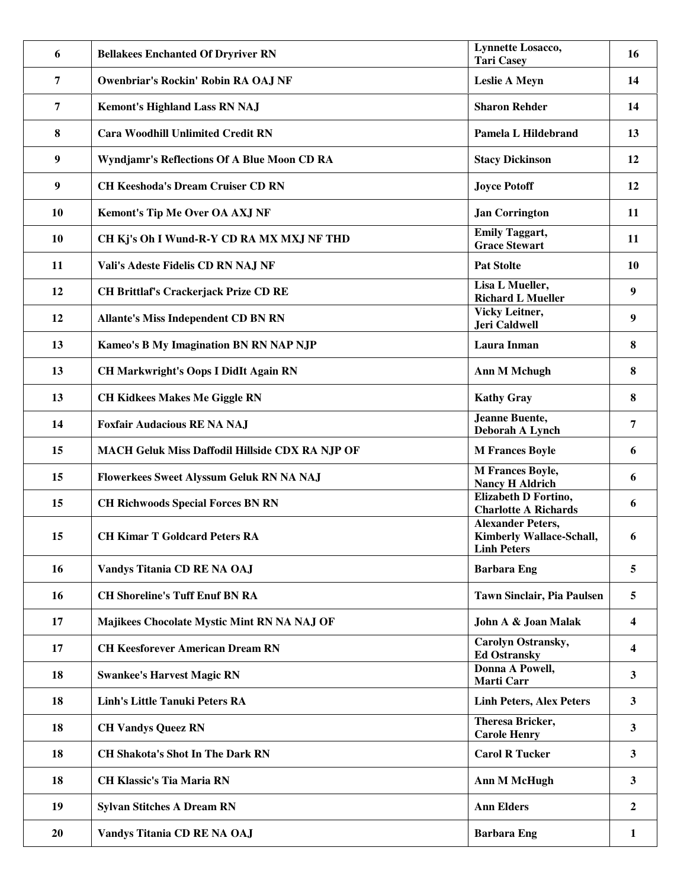| 6              | <b>Bellakees Enchanted Of Dryriver RN</b>       | <b>Lynnette Losacco,</b><br><b>Tari Casey</b>                                     | 16                      |
|----------------|-------------------------------------------------|-----------------------------------------------------------------------------------|-------------------------|
| 7              | Owenbriar's Rockin' Robin RA OAJ NF             | <b>Leslie A Meyn</b>                                                              | 14                      |
| $\overline{7}$ | <b>Kemont's Highland Lass RN NAJ</b>            | <b>Sharon Rehder</b>                                                              | 14                      |
| 8              | <b>Cara Woodhill Unlimited Credit RN</b>        | Pamela L Hildebrand                                                               | 13                      |
| 9              | Wyndjamr's Reflections Of A Blue Moon CD RA     | <b>Stacy Dickinson</b>                                                            | 12                      |
| 9              | <b>CH Keeshoda's Dream Cruiser CD RN</b>        | <b>Joyce Potoff</b>                                                               | 12                      |
| 10             | <b>Kemont's Tip Me Over OA AXJ NF</b>           | <b>Jan Corrington</b>                                                             | 11                      |
| 10             | CH Kj's Oh I Wund-R-Y CD RA MX MXJ NF THD       | <b>Emily Taggart,</b><br><b>Grace Stewart</b>                                     | 11                      |
| 11             | Vali's Adeste Fidelis CD RN NAJ NF              | <b>Pat Stolte</b>                                                                 | 10                      |
| 12             | <b>CH Brittlaf's Crackerjack Prize CD RE</b>    | Lisa L Mueller,<br><b>Richard L Mueller</b>                                       | 9                       |
| 12             | <b>Allante's Miss Independent CD BN RN</b>      | <b>Vicky Leitner,</b><br>Jeri Caldwell                                            | 9                       |
| 13             | Kameo's B My Imagination BN RN NAP NJP          | Laura Inman                                                                       | 8                       |
| 13             | <b>CH Markwright's Oops I DidIt Again RN</b>    | <b>Ann M Mchugh</b>                                                               | 8                       |
| 13             | <b>CH Kidkees Makes Me Giggle RN</b>            | <b>Kathy Gray</b>                                                                 | 8                       |
| 14             | <b>Foxfair Audacious RE NA NAJ</b>              | Jeanne Buente,<br>Deborah A Lynch                                                 | 7                       |
| 15             | MACH Geluk Miss Daffodil Hillside CDX RA NJP OF | <b>M Frances Boyle</b>                                                            | 6                       |
| 15             | Flowerkees Sweet Alyssum Geluk RN NA NAJ        | <b>M</b> Frances Boyle,<br><b>Nancy H Aldrich</b>                                 | 6                       |
| 15             | <b>CH Richwoods Special Forces BN RN</b>        | Elizabeth D Fortino,<br><b>Charlotte A Richards</b>                               | 6                       |
| 15             | <b>CH Kimar T Goldcard Peters RA</b>            | <b>Alexander Peters,</b><br><b>Kimberly Wallace-Schall,</b><br><b>Linh Peters</b> | 6                       |
| 16             | Vandys Titania CD RE NA OAJ                     | <b>Barbara Eng</b>                                                                | 5                       |
| 16             | <b>CH Shoreline's Tuff Enuf BN RA</b>           | <b>Tawn Sinclair, Pia Paulsen</b>                                                 | 5                       |
| 17             | Majikees Chocolate Mystic Mint RN NA NAJ OF     | John A & Joan Malak                                                               | 4                       |
| 17             | <b>CH Keesforever American Dream RN</b>         | Carolyn Ostransky,<br><b>Ed Ostransky</b>                                         | $\overline{\mathbf{4}}$ |
| 18             | <b>Swankee's Harvest Magic RN</b>               | Donna A Powell,<br><b>Marti Carr</b>                                              | $\mathbf{3}$            |
| 18             | <b>Linh's Little Tanuki Peters RA</b>           | <b>Linh Peters, Alex Peters</b>                                                   | $\mathbf{3}$            |
| 18             | <b>CH Vandys Queez RN</b>                       | Theresa Bricker,<br><b>Carole Henry</b>                                           | $\mathbf{3}$            |
| 18             | <b>CH Shakota's Shot In The Dark RN</b>         | <b>Carol R Tucker</b>                                                             | 3                       |
| 18             | <b>CH Klassic's Tia Maria RN</b>                | <b>Ann M McHugh</b>                                                               | $\mathbf{3}$            |
| 19             | <b>Sylvan Stitches A Dream RN</b>               | <b>Ann Elders</b>                                                                 | $\boldsymbol{2}$        |
| 20             | Vandys Titania CD RE NA OAJ                     | <b>Barbara Eng</b>                                                                | 1                       |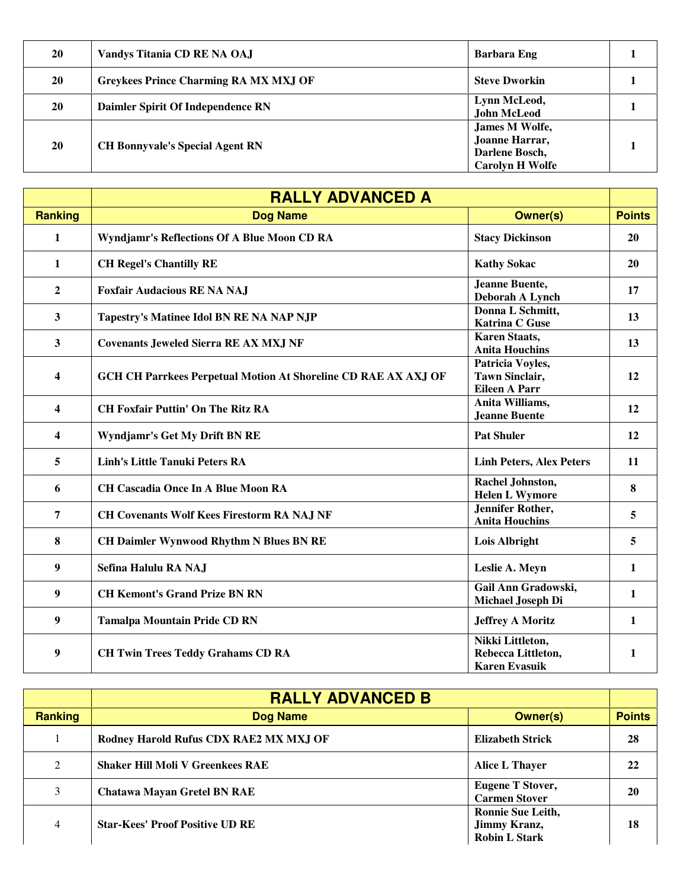| <b>20</b> | Vandys Titania CD RE NA OAJ                  | <b>Barbara Eng</b>                                                           |  |
|-----------|----------------------------------------------|------------------------------------------------------------------------------|--|
| 20        | <b>Greykees Prince Charming RA MX MXJ OF</b> | <b>Steve Dworkin</b>                                                         |  |
| <b>20</b> | Daimler Spirit Of Independence RN            | Lynn McLeod,<br><b>John McLeod</b>                                           |  |
| <b>20</b> | <b>CH Bonnyvale's Special Agent RN</b>       | James M Wolfe,<br>Joanne Harrar,<br>Darlene Bosch,<br><b>Carolyn H Wolfe</b> |  |

|                         | <b>RALLY ADVANCED A</b>                                               |                                                                   |               |
|-------------------------|-----------------------------------------------------------------------|-------------------------------------------------------------------|---------------|
| <b>Ranking</b>          | <b>Dog Name</b>                                                       | <b>Owner(s)</b>                                                   | <b>Points</b> |
| 1                       | Wyndjamr's Reflections Of A Blue Moon CD RA                           | <b>Stacy Dickinson</b>                                            | 20            |
| 1                       | <b>CH Regel's Chantilly RE</b>                                        | <b>Kathy Sokac</b>                                                | 20            |
| $\overline{2}$          | <b>Foxfair Audacious RE NA NAJ</b>                                    | <b>Jeanne Buente,</b><br>Deborah A Lynch                          | 17            |
| 3                       | Tapestry's Matinee Idol BN RE NA NAP NJP                              | Donna L Schmitt,<br><b>Katrina C Guse</b>                         | 13            |
| 3                       | <b>Covenants Jeweled Sierra RE AX MXJ NF</b>                          | <b>Karen Staats,</b><br><b>Anita Houchins</b>                     | 13            |
| 4                       | <b>GCH CH Parrkees Perpetual Motion At Shoreline CD RAE AX AXJ OF</b> | Patricia Voyles,<br><b>Tawn Sinclair,</b><br><b>Eileen A Parr</b> | 12            |
| $\overline{\mathbf{4}}$ | <b>CH Foxfair Puttin' On The Ritz RA</b>                              | Anita Williams,<br>Jeanne Buente                                  | 12            |
| 4                       | Wyndjamr's Get My Drift BN RE                                         | <b>Pat Shuler</b>                                                 | 12            |
| 5                       | <b>Linh's Little Tanuki Peters RA</b>                                 | <b>Linh Peters, Alex Peters</b>                                   | 11            |
| 6                       | <b>CH Cascadia Once In A Blue Moon RA</b>                             | Rachel Johnston,<br><b>Helen L Wymore</b>                         | 8             |
| 7                       | <b>CH Covenants Wolf Kees Firestorm RA NAJ NF</b>                     | <b>Jennifer Rother,</b><br><b>Anita Houchins</b>                  | 5             |
| 8                       | <b>CH Daimler Wynwood Rhythm N Blues BN RE</b>                        | <b>Lois Albright</b>                                              | 5             |
| 9                       | Sefina Halulu RA NAJ                                                  | Leslie A. Meyn                                                    | $\mathbf{1}$  |
| 9                       | <b>CH Kemont's Grand Prize BN RN</b>                                  | Gail Ann Gradowski,<br>Michael Joseph Di                          | $\mathbf{1}$  |
| 9                       | <b>Tamalpa Mountain Pride CD RN</b>                                   | <b>Jeffrey A Moritz</b>                                           | $\mathbf{1}$  |
| 9                       | <b>CH Twin Trees Teddy Grahams CD RA</b>                              | Nikki Littleton,<br>Rebecca Littleton,<br><b>Karen Evasuik</b>    | $\mathbf{1}$  |

|                | <b>RALLY ADVANCED B</b>                 |                                                                  |               |
|----------------|-----------------------------------------|------------------------------------------------------------------|---------------|
| <b>Ranking</b> | <b>Dog Name</b>                         | <b>Owner(s)</b>                                                  | <b>Points</b> |
|                | Rodney Harold Rufus CDX RAE2 MX MXJ OF  | <b>Elizabeth Strick</b>                                          | 28            |
| 2              | <b>Shaker Hill Moli V Greenkees RAE</b> | Alice L Thayer                                                   | 22            |
| 3              | <b>Chatawa Mayan Gretel BN RAE</b>      | <b>Eugene T Stover,</b><br><b>Carmen Stover</b>                  | 20            |
| 4              | <b>Star-Kees' Proof Positive UD RE</b>  | Ronnie Sue Leith,<br><b>Jimmy Kranz,</b><br><b>Robin L Stark</b> | 18            |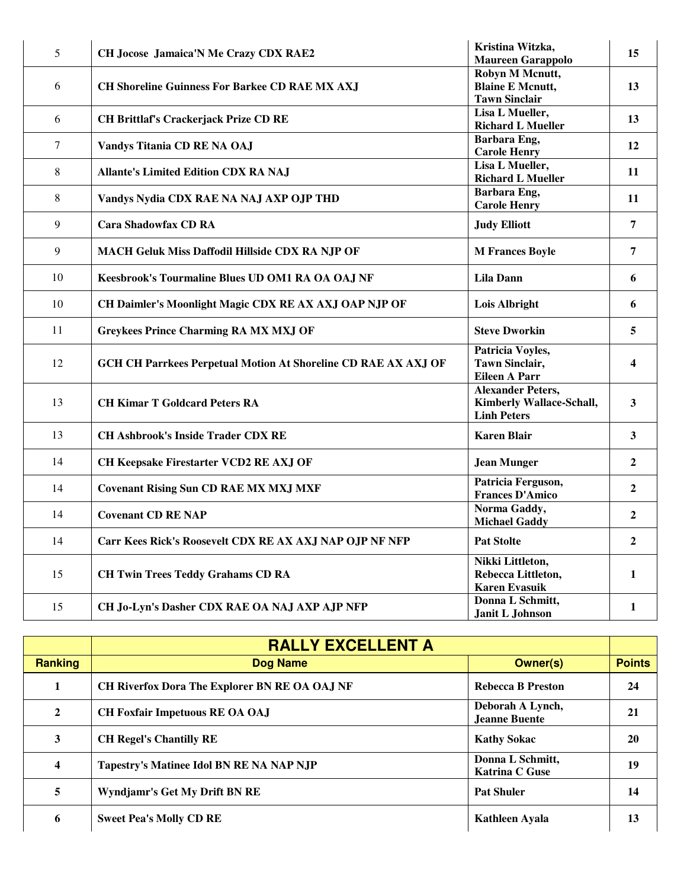| 5                | CH Jocose Jamaica'N Me Crazy CDX RAE2                                 | Kristina Witzka,<br><b>Maureen Garappolo</b>  | 15                      |
|------------------|-----------------------------------------------------------------------|-----------------------------------------------|-------------------------|
|                  |                                                                       | Robyn M Mcnutt,                               |                         |
| 6                | <b>CH Shoreline Guinness For Barkee CD RAE MX AXJ</b>                 | <b>Blaine E Mcnutt,</b>                       | 13                      |
|                  |                                                                       | <b>Tawn Sinclair</b>                          |                         |
|                  |                                                                       | Lisa L Mueller,                               |                         |
| 6                | <b>CH Brittlaf's Crackerjack Prize CD RE</b>                          | <b>Richard L Mueller</b>                      | 13                      |
|                  |                                                                       | Barbara Eng,                                  |                         |
| $\boldsymbol{7}$ | Vandys Titania CD RE NA OAJ                                           | <b>Carole Henry</b>                           | 12                      |
|                  |                                                                       | Lisa L Mueller,                               |                         |
| 8                | <b>Allante's Limited Edition CDX RA NAJ</b>                           | <b>Richard L Mueller</b>                      | 11                      |
|                  |                                                                       | Barbara Eng,                                  |                         |
| 8                | Vandys Nydia CDX RAE NA NAJ AXP OJP THD                               | <b>Carole Henry</b>                           | 11                      |
|                  |                                                                       |                                               |                         |
| 9                | <b>Cara Shadowfax CD RA</b>                                           | <b>Judy Elliott</b>                           | $\overline{7}$          |
| 9                |                                                                       |                                               | $\overline{7}$          |
|                  | <b>MACH Geluk Miss Daffodil Hillside CDX RA NJP OF</b>                | <b>M Frances Boyle</b>                        |                         |
| 10               | Keesbrook's Tourmaline Blues UD OM1 RA OA OAJ NF                      | <b>Lila Dann</b>                              | 6                       |
|                  |                                                                       |                                               |                         |
| 10               | CH Daimler's Moonlight Magic CDX RE AX AXJ OAP NJP OF                 | <b>Lois Albright</b>                          | 6                       |
|                  |                                                                       |                                               |                         |
| 11               | <b>Greykees Prince Charming RA MX MXJ OF</b>                          | <b>Steve Dworkin</b>                          | 5                       |
|                  |                                                                       |                                               |                         |
| 12               |                                                                       | Patricia Voyles,                              |                         |
|                  | <b>GCH CH Parrkees Perpetual Motion At Shoreline CD RAE AX AXJ OF</b> | <b>Tawn Sinclair,</b><br><b>Eileen A Parr</b> | $\overline{\mathbf{4}}$ |
|                  |                                                                       | <b>Alexander Peters,</b>                      |                         |
| 13               | <b>CH Kimar T Goldcard Peters RA</b>                                  | <b>Kimberly Wallace-Schall,</b>               | 3                       |
|                  |                                                                       | <b>Linh Peters</b>                            |                         |
|                  |                                                                       |                                               |                         |
| 13               | <b>CH Ashbrook's Inside Trader CDX RE</b>                             | <b>Karen Blair</b>                            | $\overline{\mathbf{3}}$ |
|                  |                                                                       |                                               |                         |
| 14               | CH Keepsake Firestarter VCD2 RE AXJ OF                                | <b>Jean Munger</b>                            | $\mathbf{2}$            |
|                  |                                                                       | Patricia Ferguson,                            |                         |
| 14               | <b>Covenant Rising Sun CD RAE MX MXJ MXF</b>                          | <b>Frances D'Amico</b>                        | $\mathbf{2}$            |
|                  |                                                                       | Norma Gaddy,                                  |                         |
| 14               | <b>Covenant CD RE NAP</b>                                             | <b>Michael Gaddy</b>                          | $\overline{2}$          |
|                  |                                                                       |                                               |                         |
| 14               | Carr Kees Rick's Roosevelt CDX RE AX AXJ NAP OJP NF NFP               | <b>Pat Stolte</b>                             | $\mathbf{2}$            |
|                  |                                                                       | Nikki Littleton,                              |                         |
| 15               | <b>CH Twin Trees Teddy Grahams CD RA</b>                              | Rebecca Littleton,                            | $\mathbf{1}$            |
|                  |                                                                       | <b>Karen Evasuik</b>                          |                         |
| 15               | CH Jo-Lyn's Dasher CDX RAE OA NAJ AXP AJP NFP                         | Donna L Schmitt,                              | $\mathbf{1}$            |
|                  |                                                                       | Janit L Johnson                               |                         |

|                | <b>RALLY EXCELLENT A</b>                        |                                           |               |
|----------------|-------------------------------------------------|-------------------------------------------|---------------|
| <b>Ranking</b> | <b>Dog Name</b>                                 | Owner(s)                                  | <b>Points</b> |
|                | CH Riverfox Dora The Explorer BN RE OA OAJ NF   | <b>Rebecca B Preston</b>                  | 24            |
| $\mathbf{2}$   | <b>CH Foxfair Impetuous RE OA OAJ</b>           | Deborah A Lynch,<br>Jeanne Buente         | 21            |
| 3              | <b>CH Regel's Chantilly RE</b>                  | <b>Kathy Sokac</b>                        | 20            |
| 4              | <b>Tapestry's Matinee Idol BN RE NA NAP NJP</b> | Donna L Schmitt,<br><b>Katrina C Guse</b> | 19            |
| 5              | Wyndjamr's Get My Drift BN RE                   | <b>Pat Shuler</b>                         | 14            |
| 6              | <b>Sweet Pea's Molly CD RE</b>                  | Kathleen Ayala                            | 13            |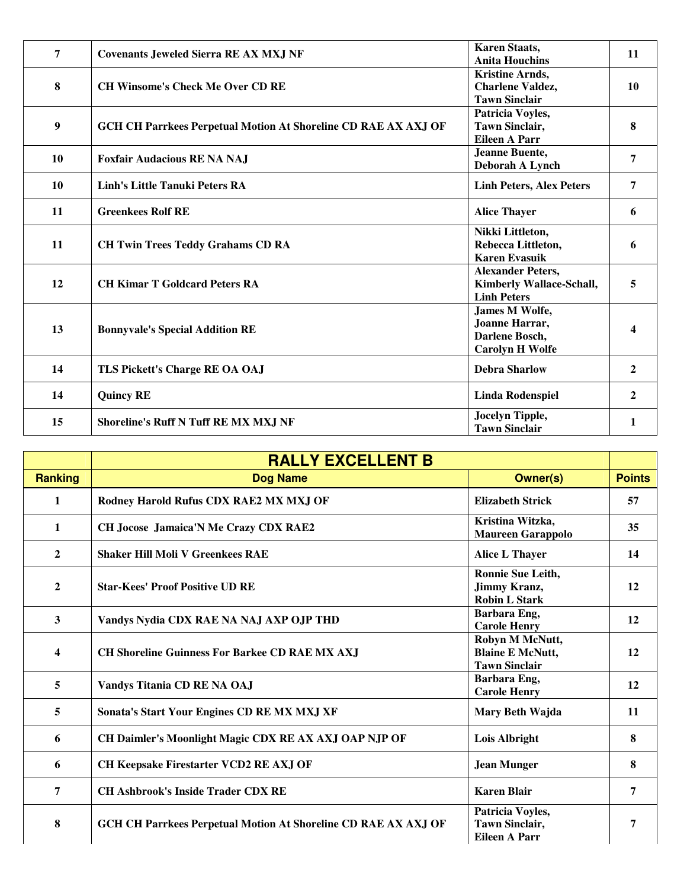| 7         | <b>Covenants Jeweled Sierra RE AX MXJ NF</b>                          | <b>Karen Staats,</b><br><b>Anita Houchins</b>                                     | 11               |
|-----------|-----------------------------------------------------------------------|-----------------------------------------------------------------------------------|------------------|
| 8         | <b>CH Winsome's Check Me Over CD RE</b>                               | <b>Kristine Arnds,</b><br><b>Charlene Valdez,</b><br><b>Tawn Sinclair</b>         | 10               |
| 9         | <b>GCH CH Parrkees Perpetual Motion At Shoreline CD RAE AX AXJ OF</b> | Patricia Voyles,<br><b>Tawn Sinclair,</b><br><b>Eileen A Parr</b>                 | 8                |
| 10        | <b>Foxfair Audacious RE NA NAJ</b>                                    | <b>Jeanne Buente,</b><br>Deborah A Lynch                                          | 7                |
| 10        | <b>Linh's Little Tanuki Peters RA</b>                                 | <b>Linh Peters, Alex Peters</b>                                                   | 7                |
| <b>11</b> | <b>Greenkees Rolf RE</b>                                              | <b>Alice Thayer</b>                                                               | 6                |
| 11        | <b>CH Twin Trees Teddy Grahams CD RA</b>                              | Nikki Littleton,<br>Rebecca Littleton,<br><b>Karen Evasuik</b>                    | 6                |
| 12        | <b>CH Kimar T Goldcard Peters RA</b>                                  | <b>Alexander Peters,</b><br><b>Kimberly Wallace-Schall,</b><br><b>Linh Peters</b> | 5                |
| 13        | <b>Bonnyvale's Special Addition RE</b>                                | James M Wolfe,<br>Joanne Harrar,<br>Darlene Bosch,<br><b>Carolyn H Wolfe</b>      |                  |
| 14        | TLS Pickett's Charge RE OA OAJ                                        | <b>Debra Sharlow</b>                                                              | 2                |
| 14        | <b>Quincy RE</b>                                                      | <b>Linda Rodenspiel</b>                                                           | $\boldsymbol{2}$ |
| 15        | <b>Shoreline's Ruff N Tuff RE MX MXJ NF</b>                           | Jocelyn Tipple,<br><b>Tawn Sinclair</b>                                           |                  |

|                  | <b>RALLY EXCELLENT B</b>                                              |                                                                    |               |
|------------------|-----------------------------------------------------------------------|--------------------------------------------------------------------|---------------|
| <b>Ranking</b>   | <b>Dog Name</b>                                                       | <b>Owner(s)</b>                                                    | <b>Points</b> |
| $\mathbf{1}$     | Rodney Harold Rufus CDX RAE2 MX MXJ OF                                | <b>Elizabeth Strick</b>                                            | 57            |
| $\mathbf{1}$     | <b>CH Jocose Jamaica'N Me Crazy CDX RAE2</b>                          | Kristina Witzka,<br><b>Maureen Garappolo</b>                       | 35            |
| $\mathbf{2}$     | <b>Shaker Hill Moli V Greenkees RAE</b>                               | <b>Alice L Thayer</b>                                              | 14            |
| $\boldsymbol{2}$ | <b>Star-Kees' Proof Positive UD RE</b>                                | Ronnie Sue Leith,<br><b>Jimmy Kranz,</b><br><b>Robin L Stark</b>   | 12            |
| 3                | Vandys Nydia CDX RAE NA NAJ AXP OJP THD                               | Barbara Eng,<br><b>Carole Henry</b>                                | 12            |
| 4                | <b>CH Shoreline Guinness For Barkee CD RAE MX AXJ</b>                 | Robyn M McNutt,<br><b>Blaine E McNutt,</b><br><b>Tawn Sinclair</b> | 12            |
| 5                | Vandys Titania CD RE NA OAJ                                           | Barbara Eng,<br><b>Carole Henry</b>                                | 12            |
| 5                | Sonata's Start Your Engines CD RE MX MXJ XF                           | Mary Beth Wajda                                                    | 11            |
| 6                | CH Daimler's Moonlight Magic CDX RE AX AXJ OAP NJP OF                 | Lois Albright                                                      | 8             |
| 6                | CH Keepsake Firestarter VCD2 RE AXJ OF                                | <b>Jean Munger</b>                                                 | 8             |
| 7                | <b>CH Ashbrook's Inside Trader CDX RE</b>                             | <b>Karen Blair</b>                                                 | 7             |
| 8                | <b>GCH CH Parrkees Perpetual Motion At Shoreline CD RAE AX AXJ OF</b> | Patricia Voyles,<br><b>Tawn Sinclair,</b><br><b>Eileen A Parr</b>  | 7             |